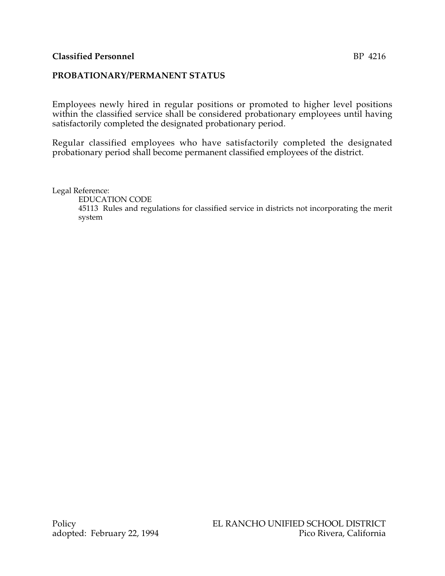## **PROBATIONARY/PERMANENT STATUS**

Employees newly hired in regular positions or promoted to higher level positions within the classified service shall be considered probationary employees until having satisfactorily completed the designated probationary period.

Regular classified employees who have satisfactorily completed the designated probationary period shall become permanent classified employees of the district.

Legal Reference:

EDUCATION CODE

45113 Rules and regulations for classified service in districts not incorporating the merit system